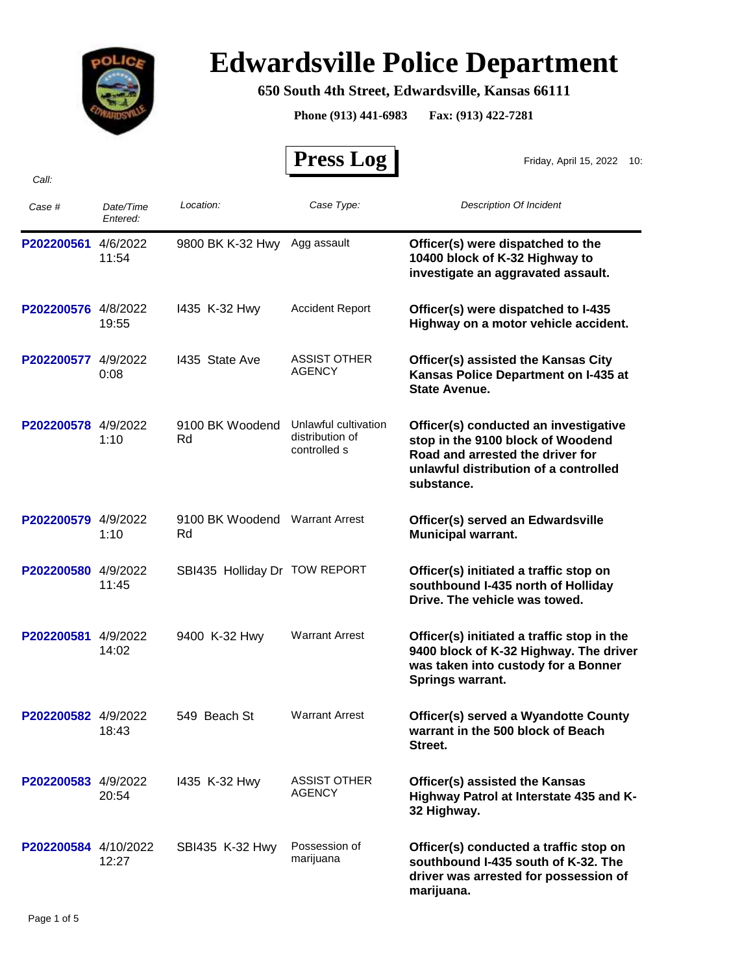

## **Edwardsville Police Department**

## **650 South 4th Street, Edwardsville, Kansas 66111**

**Phone (913) 441-6983 Fax: (913) 422-7281**

 **Press Log**  *Case # Date/Time Entered: Location: Case Type: Description Of Incident*  Friday, April 15, 2022 10: **P202200561** 4/6/2022 9800 BK K-32 Hwy Agg assault **Officer(s) were dispatched to the 10400 block of K-32 Highway to investigate an aggravated assault.** 9800 BK K-32 Hwy Agg assault 11:54 **P202200576** 4/8/2022 1435 K-32 Hwy Accident Report **Officer(s) were dispatched to I-435 Highway on a motor vehicle accident.** Accident Report 19:55 I435 K-32 Hwy **P202200577** 4/9/2022 1435 State Ave ASSIST OTHER **Officer(s) assisted the Kansas City Kansas Police Department on I-435 at State Avenue.**  ASSIST OTHER 0:08 AGENCY I435 State Ave P202200578 4/9/2022 9100 BK Woodend Unlawful cultivation **Officer(s) conducted an investigative stop in the 9100 block of Woodend Road and arrested the driver for unlawful distribution of a controlled substance.** 9100 BK Woodend Unlawful cultivation distribution of controlled s 1:10 Rd P202200579 4/9/2022 9100 BK Woodend Warrant Arrest **Officer(s) served an Edwardsville Municipal warrant.** 9100 BK Woodend Warrant Arrest 1:10 Rd **P202200580** 4/9/2022 SBI435 Holliday Dr TOW REPORT **Officer(s) initiated a traffic stop on southbound I-435 north of Holliday Drive. The vehicle was towed.** SBI435 Holliday Dr TOW REPORT 11:45 **P202200581** 4/9/2022 **Officer(s) initiated a traffic stop in the 9400 block of K-32 Highway. The driver was taken into custody for a Bonner Springs warrant.** Warrant Arrest 14:02 9400 K-32 Hwy **P202200582** 4/9/2022 549 Beach St Warrant Arrest **Officer(s) served a Wyandotte County warrant in the 500 block of Beach Street.** Warrant Arrest 18:43 549 Beach St **P202200583** 4/9/2022 1435 K-32 Hwy ASSIST OTHER **Officer(s) assisted the Kansas Highway Patrol at Interstate 435 and K-32 Highway.** ASSIST OTHER 20:54 AGENCY I435 K-32 Hwy **P202200584** 4/10/2022 **Officer(s) conducted a traffic stop on southbound I-435 south of K-32. The driver was arrested for possession of**  Possession of 12:27 marijuana SBI435 K-32 Hwy

**marijuana.**

*Call:*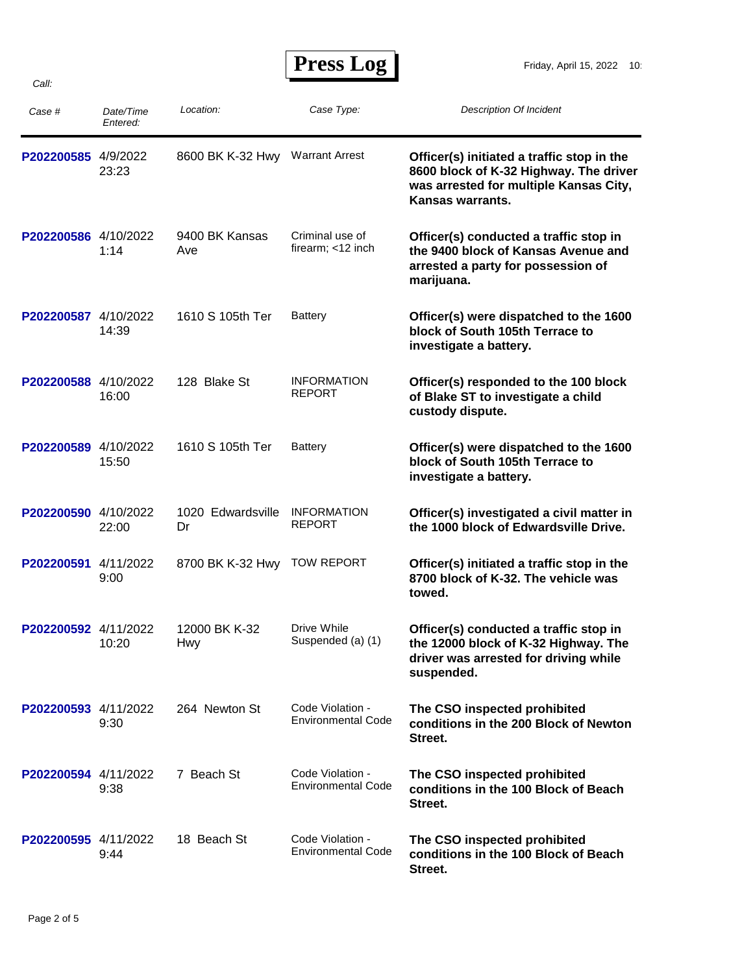## **Press Log**

| Case #               | Date/Time<br>Entered: | Location:                   | Case Type:                                    | <b>Description Of Incident</b>                                                                                                                     |
|----------------------|-----------------------|-----------------------------|-----------------------------------------------|----------------------------------------------------------------------------------------------------------------------------------------------------|
| P202200585 4/9/2022  | 23:23                 | 8600 BK K-32 Hwy            | <b>Warrant Arrest</b>                         | Officer(s) initiated a traffic stop in the<br>8600 block of K-32 Highway. The driver<br>was arrested for multiple Kansas City,<br>Kansas warrants. |
| P202200586 4/10/2022 | 1:14                  | 9400 BK Kansas<br>Ave       | Criminal use of<br>firearm; <12 inch          | Officer(s) conducted a traffic stop in<br>the 9400 block of Kansas Avenue and<br>arrested a party for possession of<br>marijuana.                  |
| P202200587 4/10/2022 | 14:39                 | 1610 S 105th Ter            | <b>Battery</b>                                | Officer(s) were dispatched to the 1600<br>block of South 105th Terrace to<br>investigate a battery.                                                |
| P202200588 4/10/2022 | 16:00                 | 128 Blake St                | <b>INFORMATION</b><br><b>REPORT</b>           | Officer(s) responded to the 100 block<br>of Blake ST to investigate a child<br>custody dispute.                                                    |
| P202200589 4/10/2022 | 15:50                 | 1610 S 105th Ter            | Battery                                       | Officer(s) were dispatched to the 1600<br>block of South 105th Terrace to<br>investigate a battery.                                                |
| P202200590 4/10/2022 | 22:00                 | 1020 Edwardsville<br>Dr     | <b>INFORMATION</b><br><b>REPORT</b>           | Officer(s) investigated a civil matter in<br>the 1000 block of Edwardsville Drive.                                                                 |
| P202200591           | 4/11/2022<br>9:00     | 8700 BK K-32 Hwy            | <b>TOW REPORT</b>                             | Officer(s) initiated a traffic stop in the<br>8700 block of K-32. The vehicle was<br>towed.                                                        |
| P202200592 4/11/2022 | 10:20                 | 12000 BK K-32<br><b>Hwy</b> | Drive While<br>Suspended (a) (1)              | Officer(s) conducted a traffic stop in<br>the 12000 block of K-32 Highway. The<br>driver was arrested for driving while<br>suspended.              |
| P202200593 4/11/2022 | 9:30                  | 264 Newton St               | Code Violation -<br><b>Environmental Code</b> | The CSO inspected prohibited<br>conditions in the 200 Block of Newton<br>Street.                                                                   |
| P202200594 4/11/2022 | 9:38                  | 7 Beach St                  | Code Violation -<br><b>Environmental Code</b> | The CSO inspected prohibited<br>conditions in the 100 Block of Beach<br>Street.                                                                    |
| P202200595 4/11/2022 | 9:44                  | 18 Beach St                 | Code Violation -<br><b>Environmental Code</b> | The CSO inspected prohibited<br>conditions in the 100 Block of Beach<br>Street.                                                                    |

*Call:*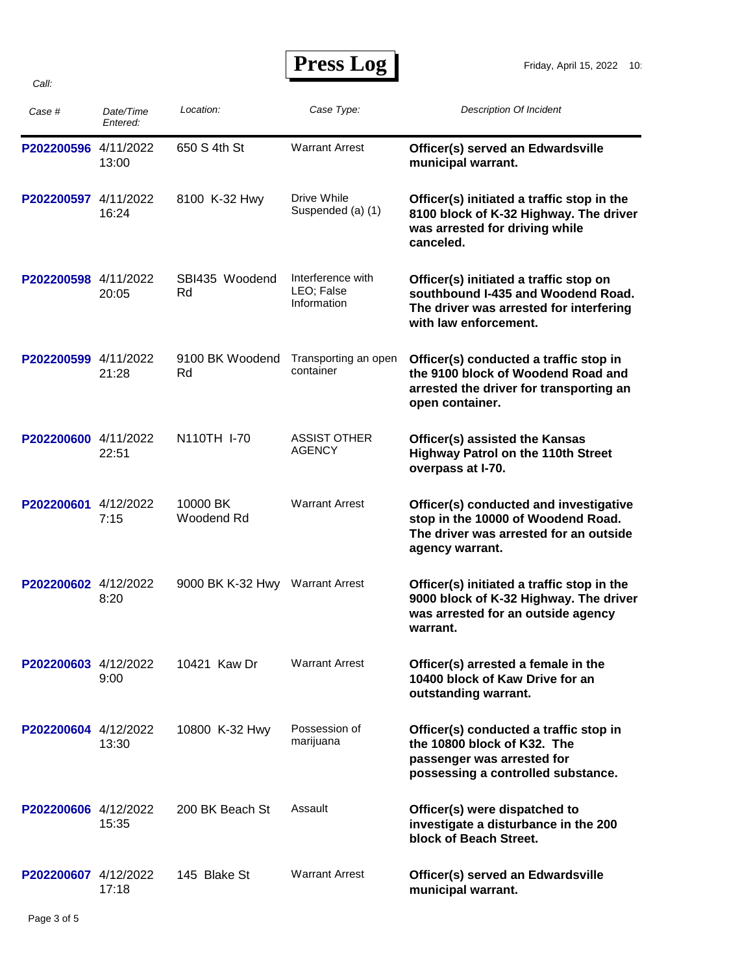*Call:*

 **Press Log** 

| Case #               | Date/Time<br>Entered: | Location:              | Case Type:                                     | <b>Description Of Incident</b>                                                                                                                   |
|----------------------|-----------------------|------------------------|------------------------------------------------|--------------------------------------------------------------------------------------------------------------------------------------------------|
| P202200596 4/11/2022 | 13:00                 | 650 S 4th St           | <b>Warrant Arrest</b>                          | Officer(s) served an Edwardsville<br>municipal warrant.                                                                                          |
| P202200597 4/11/2022 | 16:24                 | 8100 K-32 Hwy          | Drive While<br>Suspended (a) (1)               | Officer(s) initiated a traffic stop in the<br>8100 block of K-32 Highway. The driver<br>was arrested for driving while<br>canceled.              |
| P202200598 4/11/2022 | 20:05                 | SBI435 Woodend<br>Rd   | Interference with<br>LEO; False<br>Information | Officer(s) initiated a traffic stop on<br>southbound I-435 and Woodend Road.<br>The driver was arrested for interfering<br>with law enforcement. |
| P202200599 4/11/2022 | 21:28                 | 9100 BK Woodend<br>Rd  | Transporting an open<br>container              | Officer(s) conducted a traffic stop in<br>the 9100 block of Woodend Road and<br>arrested the driver for transporting an<br>open container.       |
| P202200600 4/11/2022 | 22:51                 | N110TH I-70            | <b>ASSIST OTHER</b><br><b>AGENCY</b>           | Officer(s) assisted the Kansas<br><b>Highway Patrol on the 110th Street</b><br>overpass at I-70.                                                 |
| P202200601 4/12/2022 | 7:15                  | 10000 BK<br>Woodend Rd | <b>Warrant Arrest</b>                          | Officer(s) conducted and investigative<br>stop in the 10000 of Woodend Road.<br>The driver was arrested for an outside<br>agency warrant.        |
| P202200602 4/12/2022 | 8:20                  | 9000 BK K-32 Hwy       | <b>Warrant Arrest</b>                          | Officer(s) initiated a traffic stop in the<br>9000 block of K-32 Highway. The driver<br>was arrested for an outside agency<br>warrant.           |
| P202200603 4/12/2022 | 9:00                  | 10421 Kaw Dr           | <b>Warrant Arrest</b>                          | Officer(s) arrested a female in the<br>10400 block of Kaw Drive for an<br>outstanding warrant.                                                   |
| P202200604 4/12/2022 | 13:30                 | 10800 K-32 Hwy         | Possession of<br>marijuana                     | Officer(s) conducted a traffic stop in<br>the 10800 block of K32. The<br>passenger was arrested for<br>possessing a controlled substance.        |
| P202200606 4/12/2022 | 15:35                 | 200 BK Beach St        | Assault                                        | Officer(s) were dispatched to<br>investigate a disturbance in the 200<br>block of Beach Street.                                                  |
| P202200607 4/12/2022 | 17:18                 | 145 Blake St           | <b>Warrant Arrest</b>                          | Officer(s) served an Edwardsville<br>municipal warrant.                                                                                          |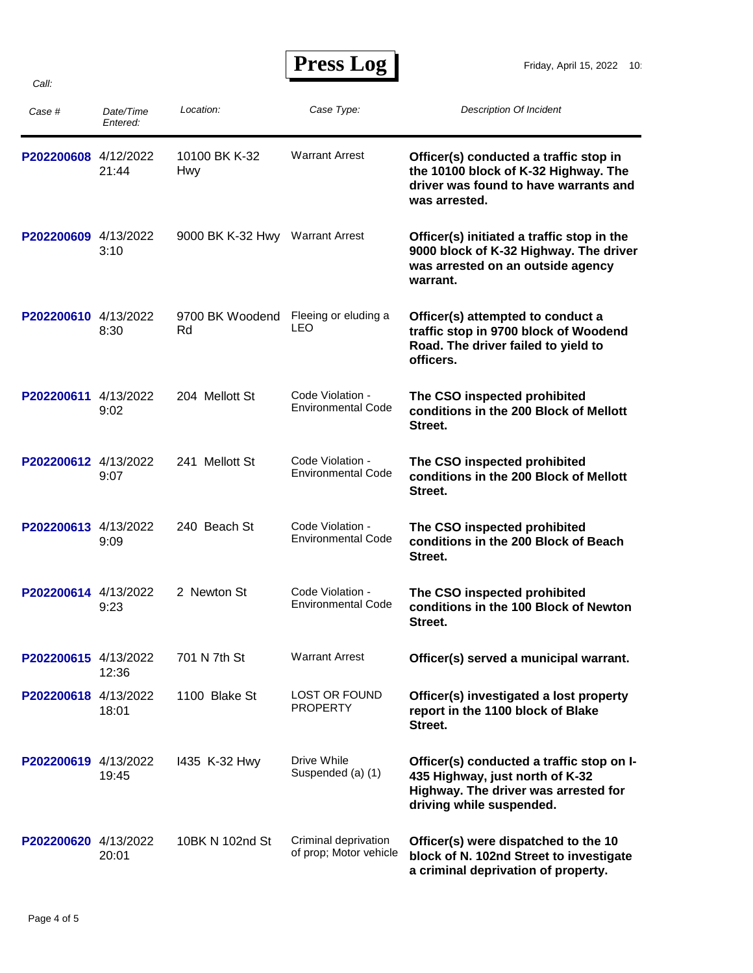## **Press Log**

| Case #               | Date/Time<br>Entered: | Location:             | Case Type:                                     | <b>Description Of Incident</b>                                                                                                                   |
|----------------------|-----------------------|-----------------------|------------------------------------------------|--------------------------------------------------------------------------------------------------------------------------------------------------|
| P202200608 4/12/2022 | 21:44                 | 10100 BK K-32<br>Hwy  | <b>Warrant Arrest</b>                          | Officer(s) conducted a traffic stop in<br>the 10100 block of K-32 Highway. The<br>driver was found to have warrants and<br>was arrested.         |
| P202200609 4/13/2022 | 3:10                  | 9000 BK K-32 Hwy      | <b>Warrant Arrest</b>                          | Officer(s) initiated a traffic stop in the<br>9000 block of K-32 Highway. The driver<br>was arrested on an outside agency<br>warrant.            |
| P202200610 4/13/2022 | 8:30                  | 9700 BK Woodend<br>Rd | Fleeing or eluding a<br>LEO                    | Officer(s) attempted to conduct a<br>traffic stop in 9700 block of Woodend<br>Road. The driver failed to yield to<br>officers.                   |
| P202200611 4/13/2022 | 9:02                  | 204 Mellott St        | Code Violation -<br><b>Environmental Code</b>  | The CSO inspected prohibited<br>conditions in the 200 Block of Mellott<br>Street.                                                                |
| P202200612 4/13/2022 | 9:07                  | 241 Mellott St        | Code Violation -<br><b>Environmental Code</b>  | The CSO inspected prohibited<br>conditions in the 200 Block of Mellott<br>Street.                                                                |
| P202200613 4/13/2022 | 9:09                  | 240 Beach St          | Code Violation -<br><b>Environmental Code</b>  | The CSO inspected prohibited<br>conditions in the 200 Block of Beach<br>Street.                                                                  |
| P202200614 4/13/2022 | 9:23                  | 2 Newton St           | Code Violation -<br><b>Environmental Code</b>  | The CSO inspected prohibited<br>conditions in the 100 Block of Newton<br>Street.                                                                 |
| P202200615 4/13/2022 | 12:36                 | 701 N 7th St          | <b>Warrant Arrest</b>                          | Officer(s) served a municipal warrant.                                                                                                           |
| P202200618 4/13/2022 | 18:01                 | 1100 Blake St         | <b>LOST OR FOUND</b><br><b>PROPERTY</b>        | Officer(s) investigated a lost property<br>report in the 1100 block of Blake<br>Street.                                                          |
| P202200619 4/13/2022 | 19:45                 | 1435 K-32 Hwy         | Drive While<br>Suspended (a) (1)               | Officer(s) conducted a traffic stop on I-<br>435 Highway, just north of K-32<br>Highway. The driver was arrested for<br>driving while suspended. |
| P202200620 4/13/2022 | 20:01                 | 10BK N 102nd St       | Criminal deprivation<br>of prop; Motor vehicle | Officer(s) were dispatched to the 10<br>block of N. 102nd Street to investigate<br>a criminal deprivation of property.                           |

*Call:*